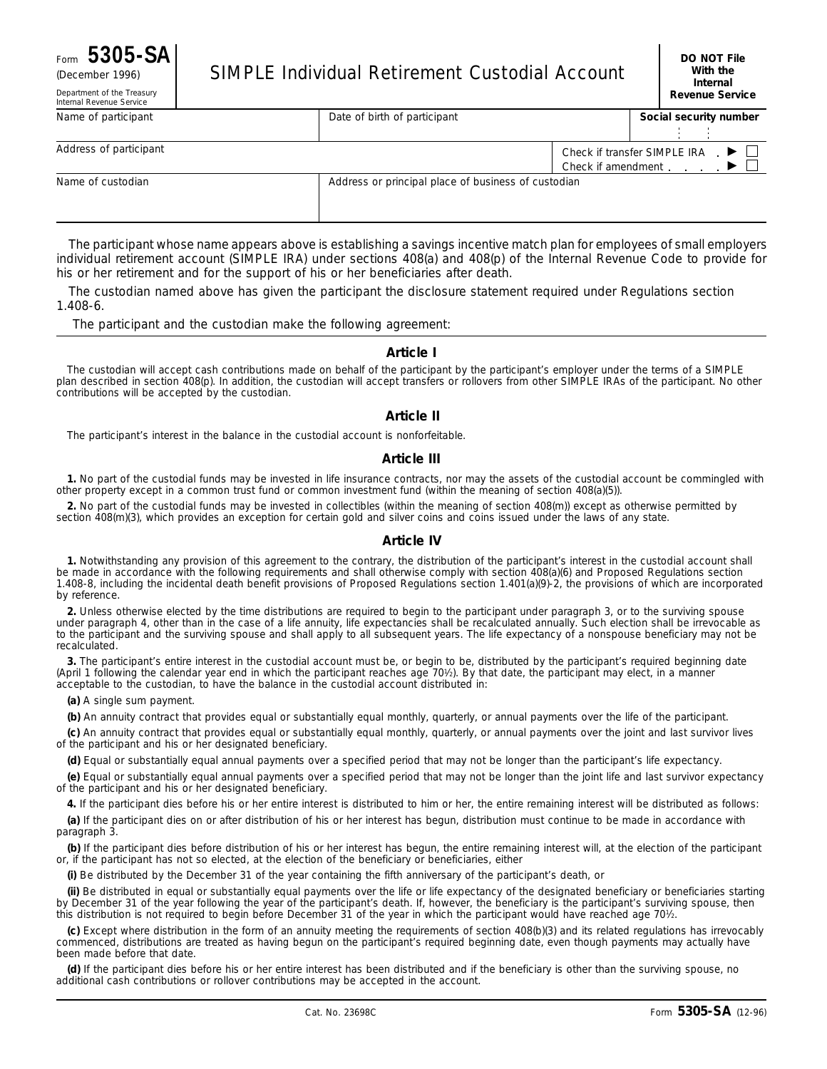# Form **5305-SA DO NOT File**

Department of the Treasury

| <b>SIMPLE Individual Retirement Custodial Account</b><br>(December 1996) |  |
|--------------------------------------------------------------------------|--|
|--------------------------------------------------------------------------|--|

| Internal Revenue Service |                              |                                                     |  | www.com                                                                                                 |
|--------------------------|------------------------------|-----------------------------------------------------|--|---------------------------------------------------------------------------------------------------------|
| Name of participant      | Date of birth of participant |                                                     |  | Social security number                                                                                  |
| Address of participant   |                              |                                                     |  | Check if transfer SIMPLE IRA $\Box$<br>Check if amendment $\ldots$ $\blacktriangleright$ $\blacksquare$ |
| Name of custodian        |                              | Address or principal place of business of custodian |  |                                                                                                         |

The participant whose name appears above is establishing a savings incentive match plan for employees of small employers individual retirement account (SIMPLE IRA) under sections 408(a) and 408(p) of the Internal Revenue Code to provide for his or her retirement and for the support of his or her beneficiaries after death.

The custodian named above has given the participant the disclosure statement required under Regulations section 1.408-6.

The participant and the custodian make the following agreement:

#### **Article I**

The custodian will accept cash contributions made on behalf of the participant by the participant's employer under the terms of a SIMPLE plan described in section 408(p). In addition, the custodian will accept transfers or rollovers from other SIMPLE IRAs of the participant. No other contributions will be accepted by the custodian.

### **Article II**

The participant's interest in the balance in the custodial account is nonforfeitable.

### **Article III**

**1.** No part of the custodial funds may be invested in life insurance contracts, nor may the assets of the custodial account be commingled with other property except in a common trust fund or common investment fund (within the meaning of section 408(a)(5)).

**2.** No part of the custodial funds may be invested in collectibles (within the meaning of section 408(m)) except as otherwise permitted by section 408(m)(3), which provides an exception for certain gold and silver coins and coins issued under the laws of any state.

### **Article IV**

**1.** Notwithstanding any provision of this agreement to the contrary, the distribution of the participant's interest in the custodial account shall be made in accordance with the following requirements and shall otherwise comply with section 408(a)(6) and Proposed Regulations section 1.408-8, including the incidental death benefit provisions of Proposed Regulations section 1.401(a)(9)-2, the provisions of which are incorporated by reference.

**2.** Unless otherwise elected by the time distributions are required to begin to the participant under paragraph 3, or to the surviving spouse under paragraph 4, other than in the case of a life annuity, life expectancies shall be recalculated annually. Such election shall be irrevocable as to the participant and the surviving spouse and shall apply to all subsequent years. The life expectancy of a nonspouse beneficiary may not be recalculated.

**3.** The participant's entire interest in the custodial account must be, or begin to be, distributed by the participant's required beginning date (April 1 following the calendar year end in which the participant reaches age 701⁄2). By that date, the participant may elect, in a manner acceptable to the custodian, to have the balance in the custodial account distributed in:

**(a)** A single sum payment.

**(b)** An annuity contract that provides equal or substantially equal monthly, quarterly, or annual payments over the life of the participant.

**(c)** An annuity contract that provides equal or substantially equal monthly, quarterly, or annual payments over the joint and last survivor lives of the participant and his or her designated beneficiary.

**(d)** Equal or substantially equal annual payments over a specified period that may not be longer than the participant's life expectancy.

**(e)** Equal or substantially equal annual payments over a specified period that may not be longer than the joint life and last survivor expectancy of the participant and his or her designated beneficiary.

**4.** If the participant dies before his or her entire interest is distributed to him or her, the entire remaining interest will be distributed as follows:

**(a)** If the participant dies on or after distribution of his or her interest has begun, distribution must continue to be made in accordance with paragraph 3.

**(b)** If the participant dies before distribution of his or her interest has begun, the entire remaining interest will, at the election of the participant or, if the participant has not so elected, at the election of the beneficiary or beneficiaries, either

**(i)** Be distributed by the December 31 of the year containing the fifth anniversary of the participant's death, or

**(ii)** Be distributed in equal or substantially equal payments over the life or life expectancy of the designated beneficiary or beneficiaries starting by December 31 of the year following the year of the participant's death. If, however, the beneficiary is the participant's surviving spouse, then this distribution is not required to begin before December 31 of the year in which the participant would have reached age 701⁄2.

**(c)** Except where distribution in the form of an annuity meeting the requirements of section 408(b)(3) and its related regulations has irrevocably commenced, distributions are treated as having begun on the participant's required beginning date, even though payments may actually have been made before that date.

**(d)** If the participant dies before his or her entire interest has been distributed and if the beneficiary is other than the surviving spouse, no additional cash contributions or rollover contributions may be accepted in the account.